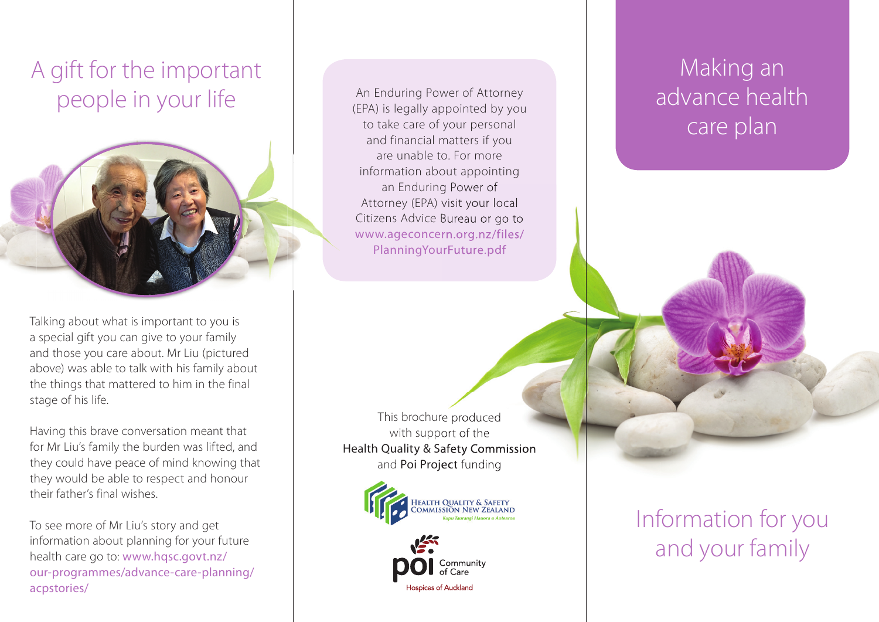# A gift for the important people in your life



Talking about what is important to you is a special gift you can give to your family and those you care about. Mr Liu (pictured above) was able to talk with his family about the things that mattered to him in the final stage of his life.

Having this brave conversation meant that for Mr Liu's family the burden was lifted, and they could have peace of mind knowing that they would be able to respect and honour their father's final wishes.

To see more of Mr Liu's story and get information about planning for your future health care go to: www.hqsc.govt.nz/ our-programmes/advance-care-planning/ acpstories/

An Enduring Power of Attorney (EPA) is legally appointed by you to take care of your personal and financial matters if you are unable to. For more information about appointing an Enduring Power of Attorney (EPA) visit your local Citizens Advice Bureau or go to Bureau or www.ageconcern.org.nz/files/ PlanningYourFuture.pdf

This brochure produced with support of the Health Quality & Safety Commission and Poi Project funding



## Community Hospices of Auckland

Information for you and your family

## Making an advance health care plan